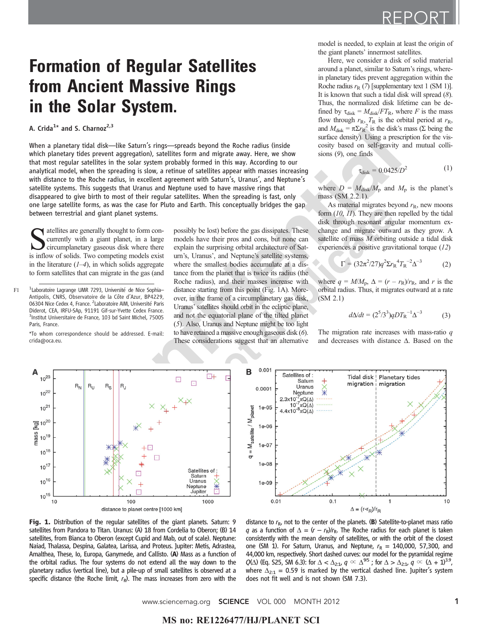## **Formation of Regular Satellites<br>from Ancient Massive Rings** in the Solar System.

## A. Crida<sup>1\*</sup> and S. Charnoz<sup>2,3</sup>

When a planetary tidal disk—like Saturn's rings—spreads beyond the Roche radius (inside which planetary tides prevent aggregation), satellites form and migrate away. Here, we show that most regular satellites in the solar system probably formed in this way. According to our analytical model, when the spreading is slow, a retinue of satellites appear with masses increasing with distance to the Roche radius, in excellent agreement with Saturn's, Uranus', and Neptune's satellite systems. This suggests that Uranus and Neptune used to have massive rings that disappeared to give birth to most of their regular satellites. When the spreading is fast, only one large satellite forms, as was the case for Pluto and Earth. This conceptually bridges the gap between terrestrial and giant planet systems.

Satellites are generally thought to form concurrently with a giant planet, in a large circumplanetary gaseous disk where there is inflow of solids. Two competing models exist currently with a giant planet, in a large is inflow of solids. Two competing models exist in the literature  $(1-4)$ , in which solids aggregate to form satellites that can migrate in the gas (and

F1 <sup>1</sup> Laboratoire Lagrange UMR 7293, Université de Nice Sophia- distance starting from this point (Fig. 1A). More-<sup>1</sup>Laboratoire Lagrange UMR 7293, Université de Nice Sophia-Antipolis, CNRS, Observatoire de la Côte d'Azur, BP4229, 06304 Nice Cedex 4, France. <sup>2</sup> Laboratoire AIM, Université Paris Diderot, CEA, IRFU-SAp, 91191 Gif-sur-Yvette Cedex France. 3 Institut Universitaire de France, 103 bd Saint Michel, 75005 Paris, France.

\*To whom correspondence should be addressed. E-mail: crida@oca.eu.

possibly be lost) before the gas dissipates. These models have their pros and cons, but none can explain the surprising orbital architecture of Saturn's, Uranus', and Neptune's satellite systems, where the smallest bodies accumulate at a distance from the planet that is twice its radius (the Roche radius), and their masses increase with over, in the frame of a circumplanetary gas disk, Uranus'satellites should orbit in the ecliptic plane, and not the equatorial plane of the tilted planet (5). Also, Uranus and Neptune might be too light to have retained a massive enough gaseous disk (6). These considerations suggest that an alternative

model is needed, to explain at least the origin of the giant planets' innermost satellites.

Here, we consider a disk of solid material around a planet, similar to Saturn's rings, wherein planetary tides prevent aggregation within the Roche radius  $r_{\rm R}$  (7) [supplementary text 1 (SM 1)]. It is known that such a tidal disk will spread  $(8)$ . Thus, the normalized disk lifetime can be defined by  $\tau_{disk} = M_{disk}/FT_R$ , where F is the mass flow through  $r_{\rm R}$ ,  $T_{\rm R}$  is the orbital period at  $r_{\rm R}$ , and  $M_{\text{disk}} = \pi \Sigma r_{\text{R}}^2$  is the disk's mass ( $\Sigma$  being the surface density). Using a prescription for the viscosity based on self-gravity and mutual collisions (9), one finds

$$
\tau_{\text{disk}} = 0.0425/D^2 \tag{1}
$$

where  $D = M_{disk}/M_p$  and  $M_p$  is the planet's mass (SM 2.2.1).

As material migrates beyond  $r<sub>R</sub>$ , new moons form  $(10, 11)$ . They are then repelled by the tidal disk through resonant angular momentum exchange and migrate outward as they grow. A satellite of mass M orbiting outside a tidal disk experiences a positive gravitational torque (12)

$$
\Gamma = (32\pi^2/27)q^2 \Sigma r_{\rm R}{}^4 T_{\rm R}{}^{-2} \Delta^{-3} \tag{2}
$$

where  $q = M/M_p$ ,  $\Delta = (r - r_R)/r_R$ , and r is the orbital radius. Thus, it migrates outward at a rate (SM 2.1)

$$
d\Delta/dt = (2^5/3^3)qDT_R^{-1}\Delta^{-3}
$$
 (3)

The migration rate increases with mass-ratio  $q$ and decreases with distance  $\Delta$ . Based on the





Fig. 1. Distribution of the regular satellites of the giant planets. Saturn: 9 satellites from Pandora to Titan. Uranus: (A) 18 from Cordelia to Oberon; (B) 14 satellites, from Bianca to Oberon (except Cupid and Mab, out of scale). Neptune: Naiad, Thalassa, Despina, Galatea, Larissa, and Proteus. Jupiter: Metis, Adrastea, Amalthea, These, Io, Europa, Ganymede, and Callisto. (A) Mass as a function of the orbital radius. The four systems do not extend all the way down to the planetary radius (vertical line), but a pile-up of small satellites is observed at a specific distance (the Roche limit,  $r_R$ ). The mass increases from zero with the

distance to  $r_{\rm R}$ , not to the center of the planets. (B) Satellite-to-planet mass ratio q as a function of  $\Delta = (r - r_R)/r_R$ . The Roche radius for each planet is taken consistently with the mean density of satellites, or with the orbit of the closest one (SM 1). For Saturn, Uranus, and Neptune,  $r_R = 140,000$ , 57,300, and 44,000 km, respectively. Short dashed curves: our model for the pyramidal regime  $Q(\Delta)$  (Eq. S25, SM 6.3): for  $\Delta < \Delta_{2:1}$ ,  $q \propto \Delta^{9/5}$ ; for  $\Delta > \Delta_{2:1}$ ,  $q \propto (\Delta + 1)^{3.9}$ , where  $\Delta_{2:1}$  = 0.59 is marked by the vertical dashed line. Jupiter's system does not fit well and is not shown (SM 7.3).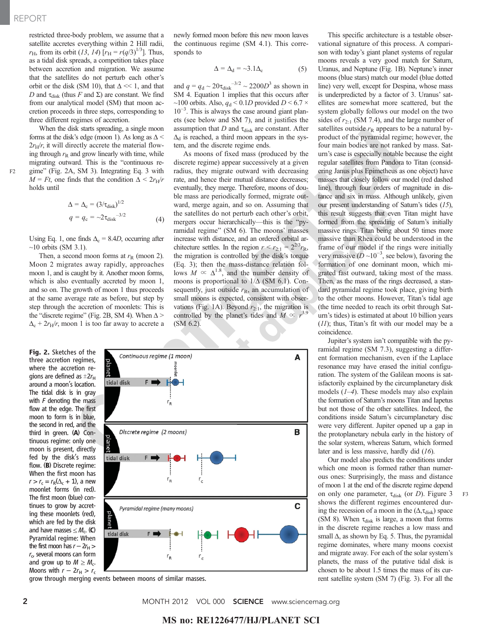restricted three-body problem, we assume that a satellite accretes everything within 2 Hill radii,  $r_{\rm H}$ , from its orbit (13, 14) [ $r_{\rm H} = r(q/3)^{1/3}$ ]. Thus, as a tidal disk spreads, a competition takes place between accretion and migration. We assume that the satellites do not perturb each other's orbit or the disk (SM 10), that  $\Delta \ll 1$ , and that D and  $\tau_{disk}$  (thus F and  $\Sigma$ ) are constant. We find from our analytical model (SM) that moon accretion proceeds in three steps, corresponding to three different regimes of accretion.

When the disk starts spreading, a single moon forms at the disk's edge (moon 1). As long as  $\Delta$  <  $2r_H/r$ , it will directly accrete the material flowing through  $r<sub>R</sub>$  and grow linearly with time, while migrating outward. This is the "continuous re-F2 gime" (Fig. 2A, SM 3). Integrating Eq. 3 with  $M = Ft$ , one finds that the condition  $\Delta < 2r_H/r$ holds until

$$
\Delta = \Delta_{\rm c} = (3/\tau_{\rm disk})^{1/2}
$$
  
 
$$
q = q_{\rm c} = -2\tau_{\rm disk}^{-3/2}
$$
 (4)

Using Eq. 1, one finds  $\Delta_c = 8.4D$ , occurring after  $\sim$ 10 orbits (SM 3.1).

Then, a second moon forms at  $r<sub>R</sub>$  (moon 2). Moon 2 migrates away rapidly, approaches moon 1, and is caught by it. Another moon forms, which is also eventually accreted by moon 1, and so on. The growth of moon 1 thus proceeds at the same average rate as before, but step by step through the accretion of moonlets: This is the "discrete regime" (Fig. 2B, SM 4). When  $\Delta$  >  $\Delta_c + 2r_H/r$ , moon 1 is too far away to accrete a

Fig. 2. Sketches of the three accretion regimes, where the accretion regions are defined as  $\pm 2r_H$ around a moon's location. The tidal disk is in gray with  $F$  denoting the mass flow at the edge. The first moon to form is in blue, the second in red, and the third in green. (A) Continuous regime: only one moon is present, directly fed by the disk's mass flow. (B) Discrete regime: When the first moon has  $r > r_c = r_R(\Delta_c + 1)$ , a new moonlet forms (in red). The first moon (blue) continues to grow by accreting these moonlets (red), which are fed by the disk and have masses  $\leq M_c$ . (C) Pyramidal regime: When the first moon has  $r - 2r_H$  $r_{\rm cr}$  several moons can form and grow up to  $M \geq M_c$ . Moons with  $r - 2r_H > r_c$  newly formed moon before this new moon leaves the continuous regime (SM 4.1). This corresponds to

$$
\Delta = \Delta_d = -3.1\Delta_c \tag{5}
$$

and  $q = q_d \sim 20 \tau_{disk}^{-3/2} \sim 2200D^3$  as shown in SM 4. Equation 1 implies that this occurs after ~100 orbits. Also,  $q_d$  < 0.1D provided  $D$  < 6.7  $\times$ 10−<sup>3</sup> . This is always the case around giant planets (see below and SM 7), and it justifies the assumption that  $D$  and  $\tau_{disk}$  are constant. After  $\Delta_d$  is reached, a third moon appears in the system, and the discrete regime ends.

As moons of fixed mass (produced by the discrete regime) appear successively at a given radius, they migrate outward with decreasing rate, and hence their mutual distance decreases; eventually, they merge. Therefore, moons of double mass are periodically formed, migrate outward, merge again, and so on. Assuming that the satellites do not perturb each other's orbit, mergers occur hierarchically—this is the "pyramidal regime" (SM 6). The moons' masses increase with distance, and an ordered orbital architecture settles. In the region  $r < r_{2:1} = 2^{2/3}r_{\text{R}}$ , the migration is controlled by the disk's torque (Eq. 3); then the mass-distance relation follows  $M \propto \Delta^{1.8}$ , and the number density of moons is proportional to  $1/\Delta$  (SM 6.1). Consequently, just outside  $r<sub>R</sub>$ , an accumulation of small moons is expected, consistent with observations (Fig. 1A). Beyond  $r_{2:1}$ , the migration is controlled by the planet's tides and  $M \propto r^{3.9}$ (SM 6.2).



grow through merging events between moons of similar masses.

This specific architecture is a testable observational signature of this process. A comparison with today's giant planet systems of regular moons reveals a very good match for Saturn, Uranus, and Neptune (Fig. 1B). Neptune's inner moons (blue stars) match our model (blue dotted line) very well, except for Despina, whose mass is underpredicted by a factor of 3. Uranus' satellites are somewhat more scattered, but the system globally follows our model on the two sides of  $r_{2:1}$  (SM 7.4), and the large number of satellites outside  $r<sub>R</sub>$  appears to be a natural byproduct of the pyramidal regime; however, the four main bodies are not ranked by mass. Saturn's case is especially notable because the eight regular satellites from Pandora to Titan (considering Janus plus Epimetheus as one object) have masses that closely follow our model (red dashed line), through four orders of magnitude in distance and six in mass. Although unlikely, given our present understanding of Saturn's tides (15), this result suggests that even Titan might have formed from the spreading of Saturn's initially massive rings. Titan being about 50 times more massive than Rhea could be understood in the frame of our model if the rings were initially very massive ( $D \sim 10^{-3}$ , see below), favoring the formation of one dominant moon, which migrated fast outward, taking most of the mass. Then, as the mass of the rings decreased, a standard pyramidal regime took place, giving birth to the other moons. However, Titan's tidal age

(the time needed to reach its orbit through Saturn's tides) is estimated at about 10 billion years (11); thus, Titan's fit with our model may be a coincidence.

Jupiter's system isn't compatible with the pyramidal regime (SM 7.3), suggesting a different formation mechanism, even if the Laplace resonance may have erased the initial configuration. The system of the Galilean moons is satisfactorily explained by the circumplanetary disk models  $(1-4)$ . These models may also explain the formation of Saturn's moons Titan and Iapetus but not those of the other satellites. Indeed, the conditions inside Saturn's circumplanetary disc were very different. Jupiter opened up a gap in the protoplanetary nebula early in the history of the solar system, whereas Saturn, which formed later and is less massive, hardly did (16).

Our model also predicts the conditions under which one moon is formed rather than numerous ones: Surprisingly, the mass and distance of moon 1 at the end of the discrete regime depend on only one parameter,  $\tau_{disk}$  (or *D*). Figure 3 F3 shows the different regimes encountered during the recession of a moon in the  $(\Delta, \tau_{\text{disk}})$  space (SM 8). When  $\tau_{disk}$  is large, a moon that forms in the discrete regime reaches a low mass and small  $\Delta$ , as shown by Eq. 5. Thus, the pyramidal regime dominates, where many moons coexist and migrate away. For each of the solar system's planets, the mass of the putative tidal disk is chosen to be about 1.5 times the mass of its current satellite system (SM 7) (Fig. 3). For all the